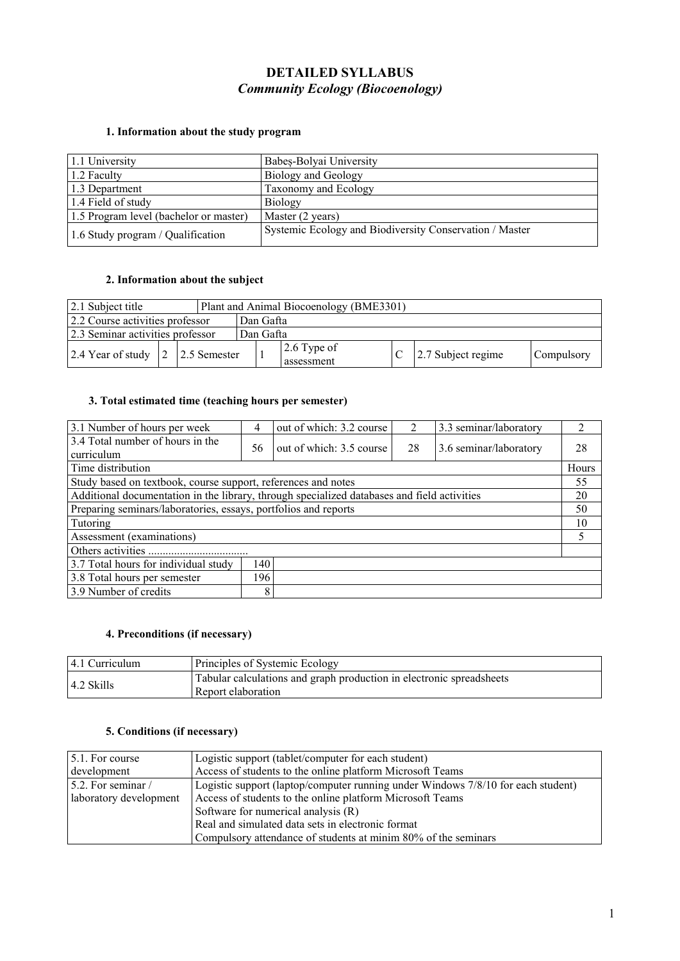# **DETAILED SYLLABUS** *Community Ecology (Biocoenology)*

## **1. Information about the study program**

| 1.1 University                         | Babeș-Bolyai University                                 |
|----------------------------------------|---------------------------------------------------------|
| 1.2 Faculty                            | <b>Biology and Geology</b>                              |
| 1.3 Department                         | Taxonomy and Ecology                                    |
| 1.4 Field of study                     | <b>Biology</b>                                          |
| 1.5 Program level (bachelor or master) | Master (2 years)                                        |
| 1.6 Study program / Qualification      | Systemic Ecology and Biodiversity Conservation / Master |

#### **2. Information about the subject**

| 2.1 Subject title                    |  |           | Plant and Animal Biocoenology (BME3301) |                       |            |
|--------------------------------------|--|-----------|-----------------------------------------|-----------------------|------------|
| 2.2 Course activities professor      |  | Dan Gafta |                                         |                       |            |
| 2.3 Seminar activities professor     |  | Dan Gafta |                                         |                       |            |
| 2.4 Year of study   2   2.5 Semester |  |           | $\vert$ 2.6 Type of<br>assessment       | $ 2.7$ Subject regime | Compulsory |

### **3. Total estimated time(teaching hours per semester)**

| 3.1 Number of hours per week                                                                | 4  | out of which: 3.2 course | 3.3 seminar/laboratory |                        |       |
|---------------------------------------------------------------------------------------------|----|--------------------------|------------------------|------------------------|-------|
| 3.4 Total number of hours in the<br>curriculum                                              | 56 | out of which: 3.5 course | 28                     | 3.6 seminar/laboratory | 28    |
| Time distribution                                                                           |    |                          |                        |                        | Hours |
| Study based on textbook, course support, references and notes                               |    |                          |                        |                        | 55    |
| Additional documentation in the library, through specialized databases and field activities |    |                          |                        |                        | 20    |
| Preparing seminars/laboratories, essays, portfolios and reports                             |    |                          |                        |                        | 50    |
| Tutoring                                                                                    |    |                          |                        |                        | 10    |
| Assessment (examinations)                                                                   |    |                          |                        |                        |       |
|                                                                                             |    |                          |                        |                        |       |
| 3.7 Total hours for individual study<br>140                                                 |    |                          |                        |                        |       |
| 196 <sub>1</sub><br>3.8 Total hours per semester                                            |    |                          |                        |                        |       |
| 3.9 Number of credits                                                                       | 8  |                          |                        |                        |       |

### **4. Preconditions (if necessary)**

| $ 4.1 \text{ Curriculum} $ | Principles of Systemic Ecology                                                             |
|----------------------------|--------------------------------------------------------------------------------------------|
| $\vert$ 4.2 Skills         | Tabular calculations and graph production in electronic spreadsheets<br>Report elaboration |
|                            |                                                                                            |

### **5. Conditions (if necessary)**

| $\vert$ 5.1. For course    | Logistic support (tablet/computer for each student)                              |  |
|----------------------------|----------------------------------------------------------------------------------|--|
| development                | Access of students to the online platform Microsoft Teams                        |  |
| $\vert$ 5.2. For seminar / | Logistic support (laptop/computer running under Windows 7/8/10 for each student) |  |
| aboratory development      | Access of students to the online platform Microsoft Teams                        |  |
|                            | Software for numerical analysis (R)                                              |  |
|                            | Real and simulated data sets in electronic format                                |  |
|                            | Compulsory attendance of students at minim 80% of the seminars                   |  |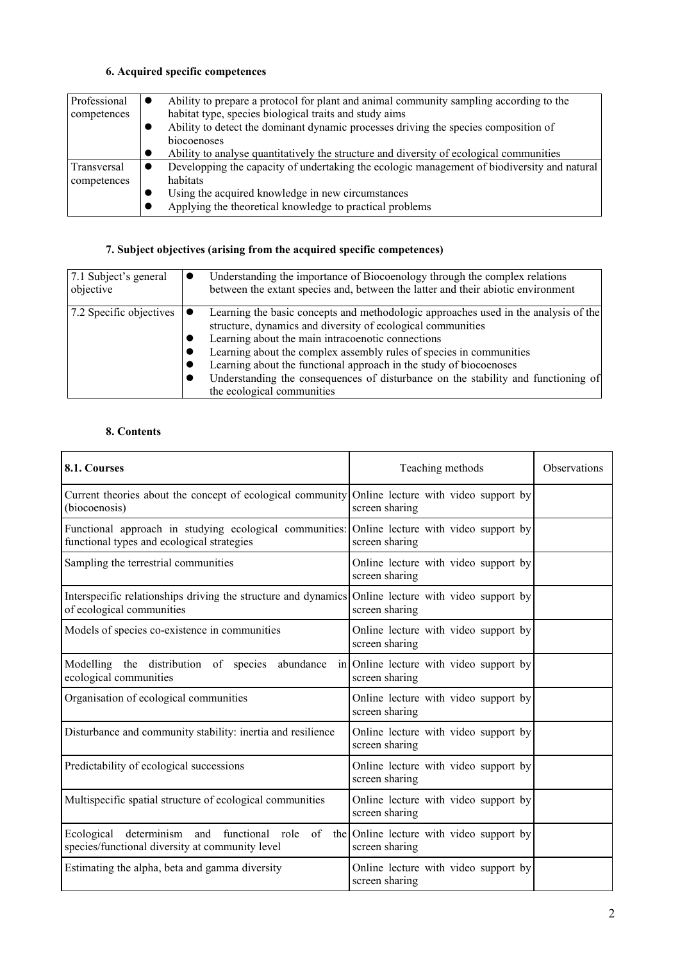## **6. Acquired specific competences**

| Professional | Ability to prepare a protocol for plant and animal community sampling according to the      |
|--------------|---------------------------------------------------------------------------------------------|
| competences  | habitat type, species biological traits and study aims                                      |
|              | Ability to detect the dominant dynamic processes driving the species composition of         |
|              | biocoenoses                                                                                 |
|              | Ability to analyse quantitatively the structure and diversity of ecological communities     |
| Transversal  | Developping the capacity of undertaking the ecologic management of biodiversity and natural |
| competences  | habitats                                                                                    |
|              | Using the acquired knowledge in new circumstances                                           |
|              | Applying the theoretical knowledge to practical problems                                    |

# **7. Subject objectives (arising from the acquired specific competences)**

| 7.1 Subject's general<br>objective            | Understanding the importance of Biocoenology through the complex relations<br>. .<br>between the extant species and, between the latter and their abiotic environment                                                                                                                                                                                                                                                                                                   |
|-----------------------------------------------|-------------------------------------------------------------------------------------------------------------------------------------------------------------------------------------------------------------------------------------------------------------------------------------------------------------------------------------------------------------------------------------------------------------------------------------------------------------------------|
| 7.2 Specific objectives $\vert \bullet \vert$ | Learning the basic concepts and methodologic approaches used in the analysis of the<br>structure, dynamics and diversity of ecological communities<br>Learning about the main intracoenotic connections<br>Learning about the complex assembly rules of species in communities<br>Learning about the functional approach in the study of biocoenoses<br>Understanding the consequences of disturbance on the stability and functioning of<br>the ecological communities |

## **8. Contents**

| 8.1. Courses                                                                                                                               | Teaching methods                                              | <b>Observations</b> |
|--------------------------------------------------------------------------------------------------------------------------------------------|---------------------------------------------------------------|---------------------|
| Current theories about the concept of ecological community Online lecture with video support by<br>(biocoenosis)                           | screen sharing                                                |                     |
| Functional approach in studying ecological communities: Online lecture with video support by<br>functional types and ecological strategies | screen sharing                                                |                     |
| Sampling the terrestrial communities                                                                                                       | Online lecture with video support by<br>screen sharing        |                     |
| Interspecific relationships driving the structure and dynamics<br>of ecological communities                                                | Online lecture with video support by<br>screen sharing        |                     |
| Models of species co-existence in communities                                                                                              | Online lecture with video support by<br>screen sharing        |                     |
| Modelling the distribution of species<br>abundance<br>ecological communities                                                               | in Online lecture with video support by<br>screen sharing     |                     |
| Organisation of ecological communities                                                                                                     | Online lecture with video support by<br>screen sharing        |                     |
| Disturbance and community stability: inertia and resilience                                                                                | Online lecture with video support by<br>screen sharing        |                     |
| Predictability of ecological successions                                                                                                   | Online lecture with video support by<br>screen sharing        |                     |
| Multispecific spatial structure of ecological communities                                                                                  | Online lecture with video support by<br>screen sharing        |                     |
| determinism and functional<br>Ecological<br>role<br>species/functional diversity at community level                                        | of the Online lecture with video support by<br>screen sharing |                     |
| Estimating the alpha, beta and gamma diversity                                                                                             | Online lecture with video support by<br>screen sharing        |                     |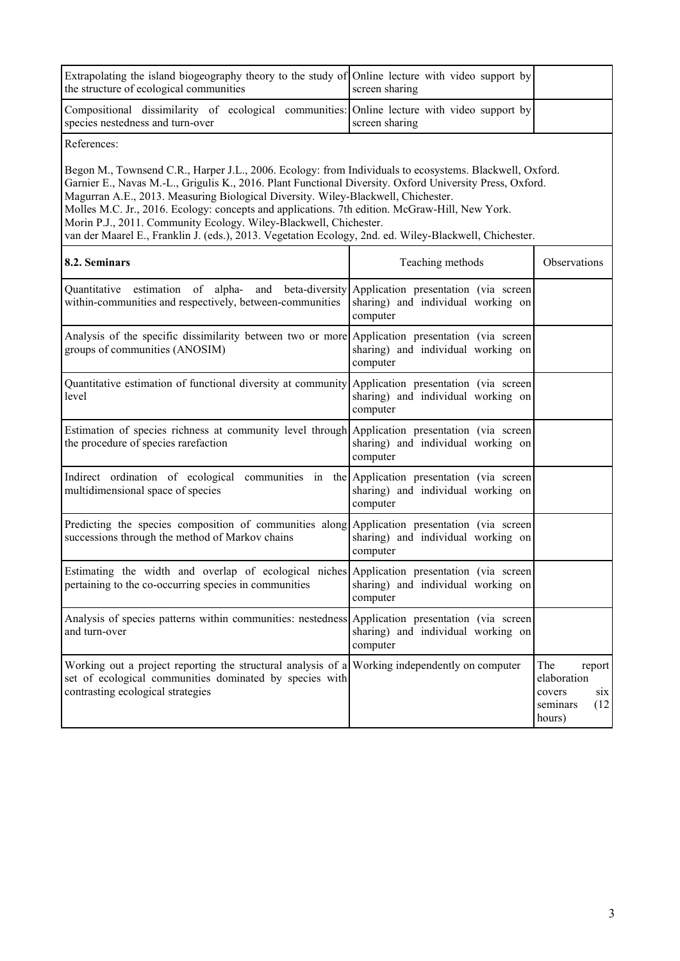| Extrapolating the island biogeography theory to the study of Online lecture with video support by<br>the structure of ecological communities                                                                                                                                                                                                                                                                                                                                                                                                                                              | screen sharing                                 |                                                                             |
|-------------------------------------------------------------------------------------------------------------------------------------------------------------------------------------------------------------------------------------------------------------------------------------------------------------------------------------------------------------------------------------------------------------------------------------------------------------------------------------------------------------------------------------------------------------------------------------------|------------------------------------------------|-----------------------------------------------------------------------------|
| Compositional dissimilarity of ecological communities: Online lecture with video support by<br>species nestedness and turn-over                                                                                                                                                                                                                                                                                                                                                                                                                                                           | screen sharing                                 |                                                                             |
| References:                                                                                                                                                                                                                                                                                                                                                                                                                                                                                                                                                                               |                                                |                                                                             |
| Begon M., Townsend C.R., Harper J.L., 2006. Ecology: from Individuals to ecosystems. Blackwell, Oxford.<br>Garnier E., Navas M.-L., Grigulis K., 2016. Plant Functional Diversity. Oxford University Press, Oxford.<br>Magurran A.E., 2013. Measuring Biological Diversity. Wiley-Blackwell, Chichester.<br>Molles M.C. Jr., 2016. Ecology: concepts and applications. 7th edition. McGraw-Hill, New York.<br>Morin P.J., 2011. Community Ecology. Wiley-Blackwell, Chichester.<br>van der Maarel E., Franklin J. (eds.), 2013. Vegetation Ecology, 2nd. ed. Wiley-Blackwell, Chichester. |                                                |                                                                             |
| 8.2. Seminars                                                                                                                                                                                                                                                                                                                                                                                                                                                                                                                                                                             | Teaching methods                               | Observations                                                                |
| Quantitative estimation of alpha- and beta-diversity Application presentation (via screen<br>within-communities and respectively, between-communities                                                                                                                                                                                                                                                                                                                                                                                                                                     | sharing) and individual working on<br>computer |                                                                             |
| Analysis of the specific dissimilarity between two or more Application presentation (via screen<br>groups of communities (ANOSIM)                                                                                                                                                                                                                                                                                                                                                                                                                                                         | sharing) and individual working on<br>computer |                                                                             |
| Quantitative estimation of functional diversity at community Application presentation (via screen<br>level                                                                                                                                                                                                                                                                                                                                                                                                                                                                                | sharing) and individual working on<br>computer |                                                                             |
| Estimation of species richness at community level through Application presentation (via screen<br>the procedure of species rarefaction                                                                                                                                                                                                                                                                                                                                                                                                                                                    | sharing) and individual working on<br>computer |                                                                             |
| Indirect ordination of ecological communities in the Application presentation (via screen<br>multidimensional space of species                                                                                                                                                                                                                                                                                                                                                                                                                                                            | sharing) and individual working on<br>computer |                                                                             |
| Predicting the species composition of communities along Application presentation (via screen<br>successions through the method of Markov chains                                                                                                                                                                                                                                                                                                                                                                                                                                           | sharing) and individual working on<br>computer |                                                                             |
| Estimating the width and overlap of ecological niches Application presentation (via screen<br>pertaining to the co-occurring species in communities                                                                                                                                                                                                                                                                                                                                                                                                                                       | sharing) and individual working on<br>computer |                                                                             |
| Analysis of species patterns within communities: nestedness Application presentation (via screen<br>and turn-over                                                                                                                                                                                                                                                                                                                                                                                                                                                                         | sharing) and individual working on<br>computer |                                                                             |
| Working out a project reporting the structural analysis of a Working independently on computer<br>set of ecological communities dominated by species with<br>contrasting ecological strategies                                                                                                                                                                                                                                                                                                                                                                                            |                                                | The<br>report<br>elaboration<br>covers<br>six<br>(12)<br>seminars<br>hours) |